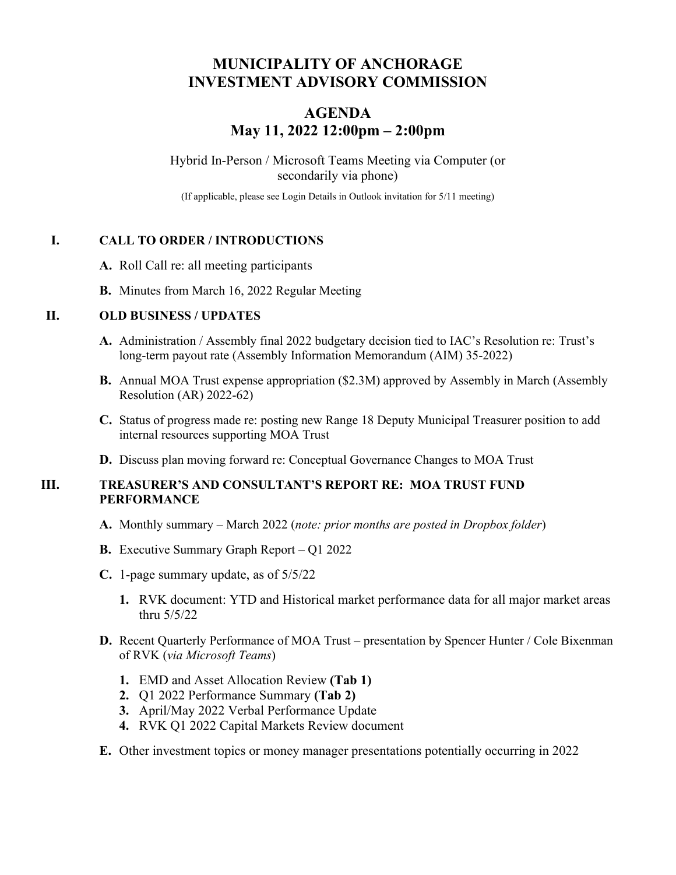# **MUNICIPALITY OF ANCHORAGE INVESTMENT ADVISORY COMMISSION**

# **AGENDA May 11, 2022 12:00pm – 2:00pm**

Hybrid In-Person / Microsoft Teams Meeting via Computer (or secondarily via phone)

(If applicable, please see Login Details in Outlook invitation for 5/11 meeting)

#### **I. CALL TO ORDER / INTRODUCTIONS**

- **A.** Roll Call re: all meeting participants
- **B.** Minutes from March 16, 2022 Regular Meeting

#### **II. OLD BUSINESS / UPDATES**

- **A.** Administration / Assembly final 2022 budgetary decision tied to IAC's Resolution re: Trust's long-term payout rate (Assembly Information Memorandum (AIM) 35-2022)
- **B.** Annual MOA Trust expense appropriation (\$2.3M) approved by Assembly in March (Assembly Resolution (AR) 2022-62)
- **C.** Status of progress made re: posting new Range 18 Deputy Municipal Treasurer position to add internal resources supporting MOA Trust
- **D.** Discuss plan moving forward re: Conceptual Governance Changes to MOA Trust

#### **III. TREASURER'S AND CONSULTANT'S REPORT RE: MOA TRUST FUND PERFORMANCE**

- **A.** Monthly summary March 2022 (*note: prior months are posted in Dropbox folder*)
- **B.** Executive Summary Graph Report Q1 2022
- **C.** 1-page summary update, as of 5/5/22
	- **1.** RVK document: YTD and Historical market performance data for all major market areas thru 5/5/22
- **D.** Recent Quarterly Performance of MOA Trust presentation by Spencer Hunter / Cole Bixenman of RVK (*via Microsoft Teams*)
	- **1.** EMD and Asset Allocation Review **(Tab 1)**
	- **2.** Q1 2022 Performance Summary **(Tab 2)**
	- **3.** April/May 2022 Verbal Performance Update
	- **4.** RVK Q1 2022 Capital Markets Review document
- **E.** Other investment topics or money manager presentations potentially occurring in 2022